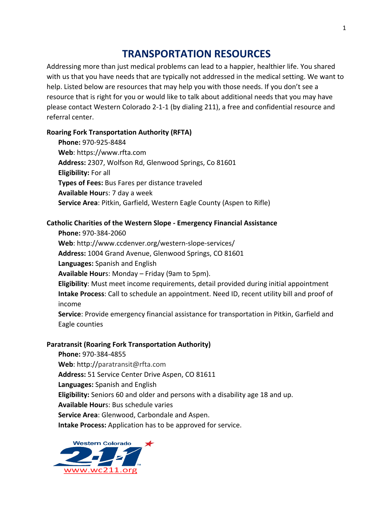# **TRANSPORTATION RESOURCES**

Addressing more than just medical problems can lead to a happier, healthier life. You shared with us that you have needs that are typically not addressed in the medical setting. We want to help. Listed below are resources that may help you with those needs. If you don't see a resource that is right for you or would like to talk about additional needs that you may have please contact Western Colorado 2-1-1 (by dialing 211), a free and confidential resource and referral center.

## **Roaring Fork Transportation Authority (RFTA)**

**Phone:** 970-925-8484 Web: https://www.rfta.com Address: 2307, Wolfson Rd, Glenwood Springs, Co 81601 **Eligibility:** For all **Types of Fees:** Bus Fares per distance traveled **Available Hours: 7 day a week Service Area:** Pitkin, Garfield, Western Eagle County (Aspen to Rifle)

## **Catholic Charities of the Western Slope - Emergency Financial Assistance**

**Phone:** 970-384-2060 Web: http://www.ccdenver.org/western-slope-services/ Address: 1004 Grand Avenue, Glenwood Springs, CO 81601 Languages: Spanish and English **Available Hour**s: Monday – Friday (9am to 5pm). **Eligibility:** Must meet income requirements, detail provided during initial appointment **Intake Process:** Call to schedule an appointment. Need ID, recent utility bill and proof of income **Service**: Provide emergency financial assistance for transportation in Pitkin, Garfield and

Eagle counties

## **Paratransit (Roaring Fork Transportation Authority)**

**Phone:** 970-384-4855 **Web**: http://paratransit@rfta.com Address: 51 Service Center Drive Aspen, CO 81611 Languages: Spanish and English **Eligibility:** Seniors 60 and older and persons with a disability age 18 and up. **Available Hour**s: Bus schedule varies **Service Area:** Glenwood, Carbondale and Aspen. **Intake Process:** Application has to be approved for service.

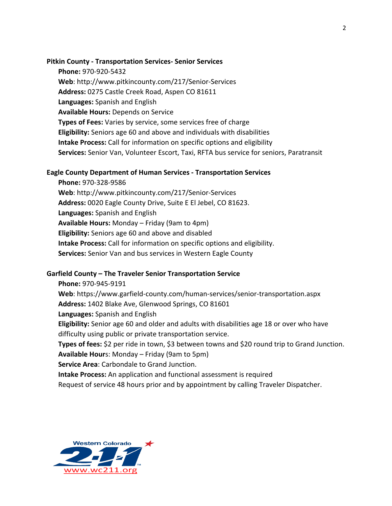#### **Pitkin County - Transportation Services- Senior Services**

**Phone:** 970-920-5432 Web: http://www.pitkincounty.com/217/Senior-Services Address: 0275 Castle Creek Road, Aspen CO 81611 Languages: Spanish and English **Available Hours: Depends on Service Types of Fees:** Varies by service, some services free of charge **Eligibility:** Seniors age 60 and above and individuals with disabilities **Intake Process:** Call for information on specific options and eligibility **Services:** Senior Van, Volunteer Escort, Taxi, RFTA bus service for seniors, Paratransit

## **Eagle County Department of Human Services - Transportation Services**

**Phone:** 970-328-9586 Web: http://www.pitkincounty.com/217/Senior-Services Address: 0020 Eagle County Drive, Suite E El Jebel, CO 81623. **Languages:** Spanish and English **Available Hours:** Monday – Friday (9am to 4pm) **Eligibility:** Seniors age 60 and above and disabled **Intake Process:** Call for information on specific options and eligibility. **Services:** Senior Van and bus services in Western Eagle County

## Garfield County – The Traveler Senior Transportation Service

**Phone:** 970-945-9191 **Web**: https://www.garfield-county.com/human-services/senior-transportation.aspx Address: 1402 Blake Ave, Glenwood Springs, CO 81601 **Languages:** Spanish and English **Eligibility:** Senior age 60 and older and adults with disabilities age 18 or over who have difficulty using public or private transportation service. **Types of fees:** \$2 per ride in town, \$3 between towns and \$20 round trip to Grand Junction. **Available Hour**s: Monday – Friday (9am to 5pm) **Service Area:** Carbondale to Grand Junction. **Intake Process:** An application and functional assessment is required

Request of service 48 hours prior and by appointment by calling Traveler Dispatcher.